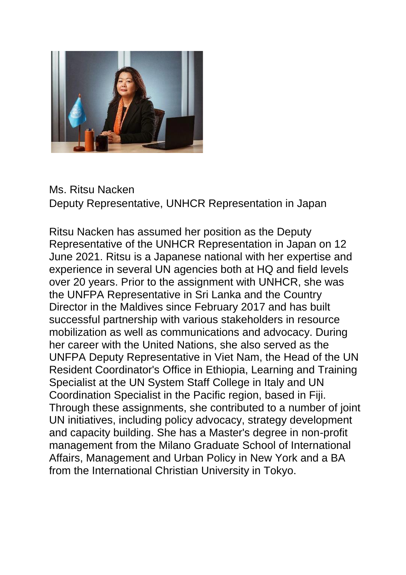

Ms. Ritsu Nacken Deputy Representative, UNHCR Representation in Japan

Ritsu Nacken has assumed her position as the Deputy Representative of the UNHCR Representation in Japan on 12 June 2021. Ritsu is a Japanese national with her expertise and experience in several UN agencies both at HQ and field levels over 20 years. Prior to the assignment with UNHCR, she was the UNFPA Representative in Sri Lanka and the Country Director in the Maldives since February 2017 and has built successful partnership with various stakeholders in resource mobilization as well as communications and advocacy. During her career with the United Nations, she also served as the UNFPA Deputy Representative in Viet Nam, the Head of the UN Resident Coordinator's Office in Ethiopia, Learning and Training Specialist at the UN System Staff College in Italy and UN Coordination Specialist in the Pacific region, based in Fiji. Through these assignments, she contributed to a number of joint UN initiatives, including policy advocacy, strategy development and capacity building. She has a Master's degree in non-profit management from the Milano Graduate School of International Affairs, Management and Urban Policy in New York and a BA from the International Christian University in Tokyo.